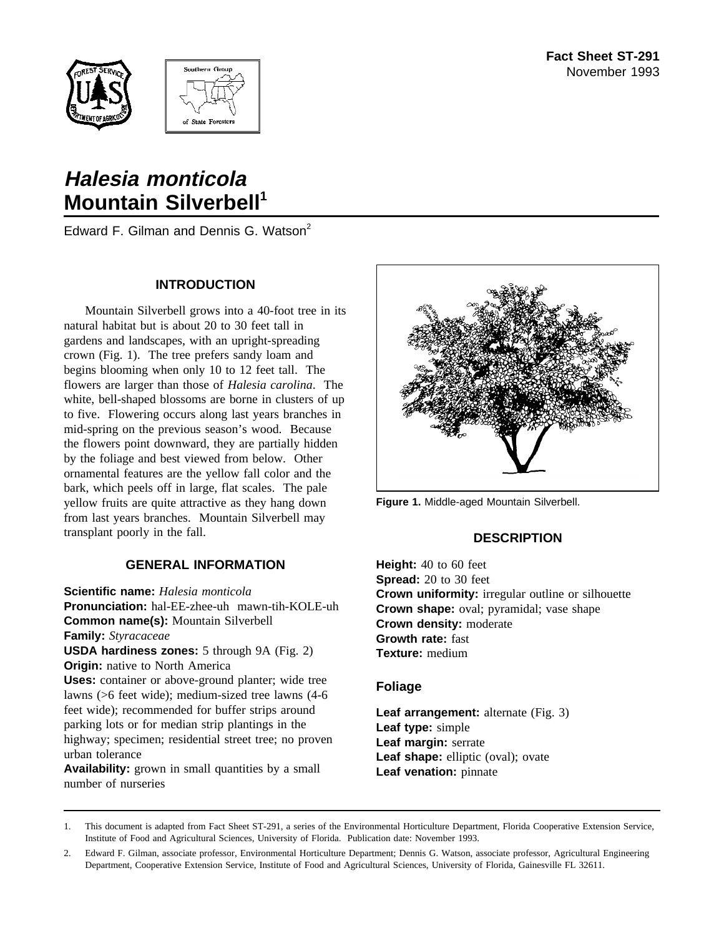



# **Halesia monticola Mountain Silverbell**<sup>1</sup>

Edward F. Gilman and Dennis G. Watson<sup>2</sup>

## **INTRODUCTION**

Mountain Silverbell grows into a 40-foot tree in its natural habitat but is about 20 to 30 feet tall in gardens and landscapes, with an upright-spreading crown (Fig. 1). The tree prefers sandy loam and begins blooming when only 10 to 12 feet tall. The flowers are larger than those of *Halesia carolina*. The white, bell-shaped blossoms are borne in clusters of up to five. Flowering occurs along last years branches in mid-spring on the previous season's wood. Because the flowers point downward, they are partially hidden by the foliage and best viewed from below. Other ornamental features are the yellow fall color and the bark, which peels off in large, flat scales. The pale yellow fruits are quite attractive as they hang down from last years branches. Mountain Silverbell may transplant poorly in the fall.

## **GENERAL INFORMATION**

**Scientific name:** *Halesia monticola* **Pronunciation:** hal-EE-zhee-uh mawn-tih-KOLE-uh **Common name(s):** Mountain Silverbell **Family:** *Styracaceae* **USDA hardiness zones:** 5 through 9A (Fig. 2) **Origin:** native to North America **Uses:** container or above-ground planter; wide tree lawns (>6 feet wide); medium-sized tree lawns (4-6 feet wide); recommended for buffer strips around parking lots or for median strip plantings in the highway; specimen; residential street tree; no proven urban tolerance

**Availability:** grown in small quantities by a small number of nurseries



**Figure 1.** Middle-aged Mountain Silverbell.

## **DESCRIPTION**

**Height:** 40 to 60 feet **Spread:** 20 to 30 feet **Crown uniformity:** irregular outline or silhouette **Crown shape:** oval; pyramidal; vase shape **Crown density:** moderate **Growth rate:** fast **Texture:** medium

### **Foliage**

**Leaf arrangement:** alternate (Fig. 3) **Leaf type:** simple **Leaf margin:** serrate Leaf shape: elliptic (oval); ovate **Leaf venation:** pinnate

2. Edward F. Gilman, associate professor, Environmental Horticulture Department; Dennis G. Watson, associate professor, Agricultural Engineering Department, Cooperative Extension Service, Institute of Food and Agricultural Sciences, University of Florida, Gainesville FL 32611.

<sup>1.</sup> This document is adapted from Fact Sheet ST-291, a series of the Environmental Horticulture Department, Florida Cooperative Extension Service, Institute of Food and Agricultural Sciences, University of Florida. Publication date: November 1993.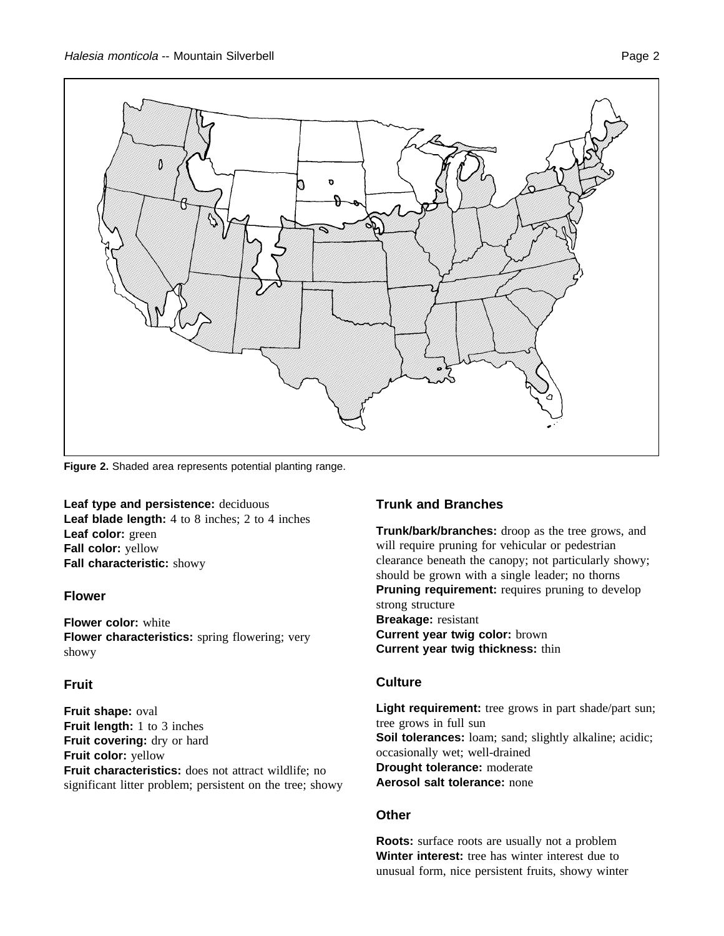

**Figure 2.** Shaded area represents potential planting range.

**Leaf type and persistence:** deciduous **Leaf blade length:** 4 to 8 inches; 2 to 4 inches **Leaf color:** green **Fall color:** yellow **Fall characteristic:** showy

#### **Flower**

**Flower color:** white **Flower characteristics:** spring flowering; very showy

### **Fruit**

**Fruit shape:** oval **Fruit length:** 1 to 3 inches **Fruit covering:** dry or hard **Fruit color:** yellow **Fruit characteristics:** does not attract wildlife; no significant litter problem; persistent on the tree; showy

### **Trunk and Branches**

**Trunk/bark/branches:** droop as the tree grows, and will require pruning for vehicular or pedestrian clearance beneath the canopy; not particularly showy; should be grown with a single leader; no thorns **Pruning requirement:** requires pruning to develop strong structure **Breakage:** resistant **Current year twig color:** brown **Current year twig thickness:** thin

#### **Culture**

Light requirement: tree grows in part shade/part sun; tree grows in full sun **Soil tolerances:** loam; sand; slightly alkaline; acidic; occasionally wet; well-drained **Drought tolerance:** moderate **Aerosol salt tolerance:** none

## **Other**

**Roots:** surface roots are usually not a problem **Winter interest:** tree has winter interest due to unusual form, nice persistent fruits, showy winter